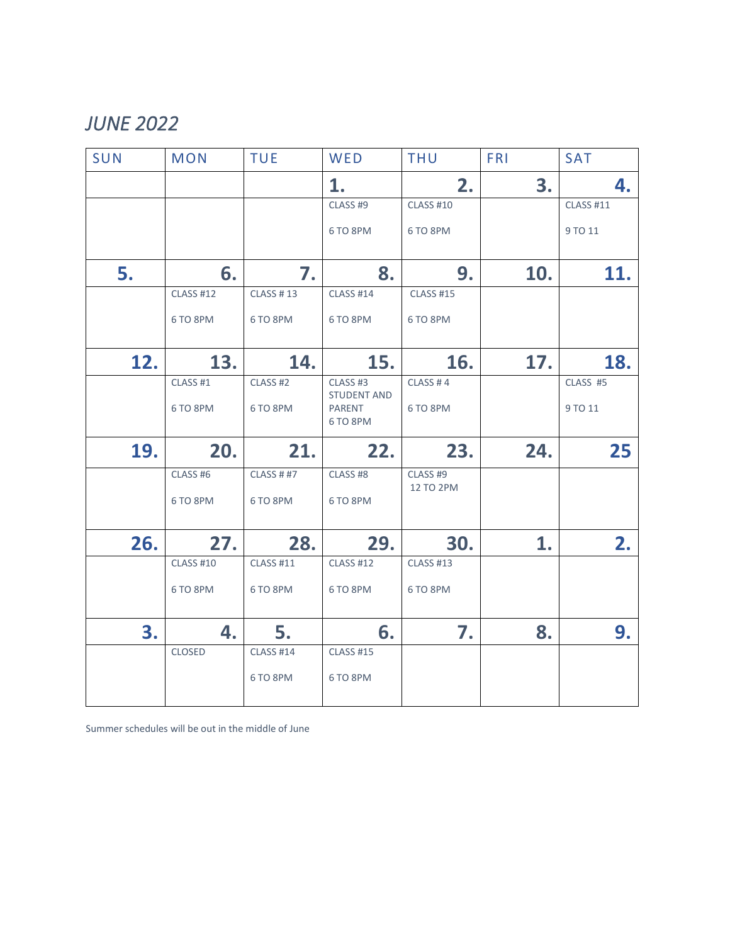## *JUNE 2022*

| SUN | <b>MON</b>       | <b>TUE</b>       | WED                            | <b>THU</b>            | <b>FRI</b> | <b>SAT</b>       |
|-----|------------------|------------------|--------------------------------|-----------------------|------------|------------------|
|     |                  |                  | 1.                             | 2.                    | 3.         | 4.               |
|     |                  |                  | CLASS #9                       | <b>CLASS #10</b>      |            | <b>CLASS #11</b> |
|     |                  |                  | 6 TO 8PM                       | 6 TO 8PM              |            | 9 TO 11          |
| 5.  | 6.               | 7.               | 8.                             | 9.                    | 10.        | 11.              |
|     | <b>CLASS #12</b> | <b>CLASS #13</b> | <b>CLASS #14</b>               | <b>CLASS #15</b>      |            |                  |
|     | 6 TO 8PM         | 6 TO 8PM         | 6 TO 8PM                       | 6 TO 8PM              |            |                  |
| 12. | 13.              | 14.              | 15.                            | 16.                   | 17.        | 18.              |
|     | CLASS #1         | CLASS #2         | CLASS #3<br><b>STUDENT AND</b> | CLASS #4              |            | CLASS #5         |
|     | 6 TO 8PM         | 6 TO 8PM         | PARENT<br>6 TO 8PM             | 6 TO 8PM              |            | 9 TO 11          |
| 19. | 20.              | 21.              | 22.                            | 23.                   | 24.        | 25               |
|     | CLASS #6         | <b>CLASS ##7</b> | CLASS #8                       | CLASS #9<br>12 TO 2PM |            |                  |
|     | 6 TO 8PM         | 6 TO 8PM         | 6 TO 8PM                       |                       |            |                  |
| 26. | 27.              | 28.              | 29.                            | 30.                   | 1.         | 2.               |
|     | <b>CLASS #10</b> | <b>CLASS #11</b> | <b>CLASS #12</b>               | <b>CLASS #13</b>      |            |                  |
|     | 6 TO 8PM         | 6 TO 8PM         | 6 TO 8PM                       | 6 TO 8PM              |            |                  |
| 3.  | 4.               | 5.               | 6.                             | 7.                    | 8.         | 9.               |
|     | CLOSED           | <b>CLASS #14</b> | <b>CLASS #15</b>               |                       |            |                  |
|     |                  | 6 TO 8PM         | 6 TO 8PM                       |                       |            |                  |

Summer schedules will be out in the middle of June